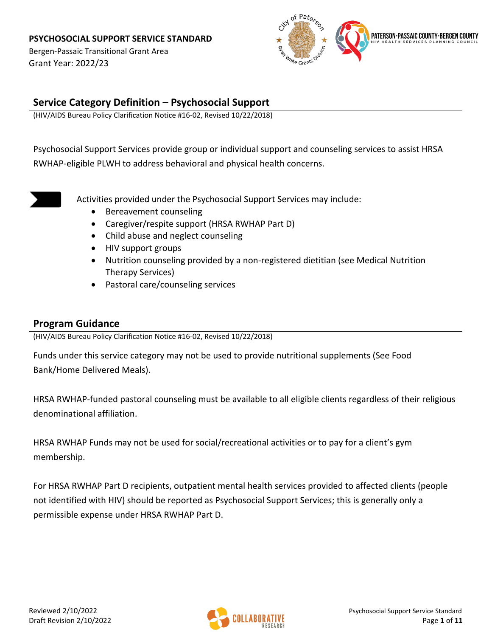Bergen-Passaic Transitional Grant Area Grant Year: 2022/23



### **Service Category Definition – Psychosocial Support**

(HIV/AIDS Bureau Policy Clarification Notice #16-02, Revised 10/22/2018)

Psychosocial Support Services provide group or individual support and counseling services to assist HRSA RWHAP-eligible PLWH to address behavioral and physical health concerns.



Activities provided under the Psychosocial Support Services may include:

- Bereavement counseling
- Caregiver/respite support (HRSA RWHAP Part D)
- Child abuse and neglect counseling
- HIV support groups
- Nutrition counseling provided by a non-registered dietitian (see Medical Nutrition Therapy Services)
- Pastoral care/counseling services

### **Program Guidance**

(HIV/AIDS Bureau Policy Clarification Notice #16-02, Revised 10/22/2018)

Funds under this service category may not be used to provide nutritional supplements (See Food Bank/Home Delivered Meals).

HRSA RWHAP-funded pastoral counseling must be available to all eligible clients regardless of their religious denominational affiliation.

HRSA RWHAP Funds may not be used for social/recreational activities or to pay for a client's gym membership.

For HRSA RWHAP Part D recipients, outpatient mental health services provided to affected clients (people not identified with HIV) should be reported as Psychosocial Support Services; this is generally only a permissible expense under HRSA RWHAP Part D.

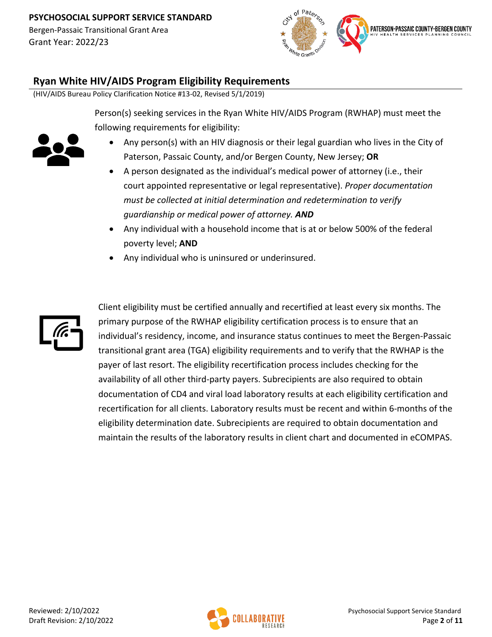Bergen-Passaic Transitional Grant Area Grant Year: 2022/23



### **Ryan White HIV/AIDS Program Eligibility Requirements**

(HIV/AIDS Bureau Policy Clarification Notice #13-02, Revised 5/1/2019)

Person(s) seeking services in the Ryan White HIV/AIDS Program (RWHAP) must meet the following requirements for eligibility:



- Any person(s) with an HIV diagnosis or their legal guardian who lives in the City of Paterson, Passaic County, and/or Bergen County, New Jersey; **OR**
- A person designated as the individual's medical power of attorney (i.e., their court appointed representative or legal representative). *Proper documentation must be collected at initial determination and redetermination to verify guardianship or medical power of attorney. AND*
- Any individual with a household income that is at or below 500% of the federal poverty level; **AND**
- Any individual who is uninsured or underinsured.



Client eligibility must be certified annually and recertified at least every six months. The primary purpose of the RWHAP eligibility certification process is to ensure that an individual's residency, income, and insurance status continues to meet the Bergen-Passaic transitional grant area (TGA) eligibility requirements and to verify that the RWHAP is the payer of last resort. The eligibility recertification process includes checking for the availability of all other third-party payers. Subrecipients are also required to obtain documentation of CD4 and viral load laboratory results at each eligibility certification and recertification for all clients. Laboratory results must be recent and within 6-months of the eligibility determination date. Subrecipients are required to obtain documentation and maintain the results of the laboratory results in client chart and documented in eCOMPAS.

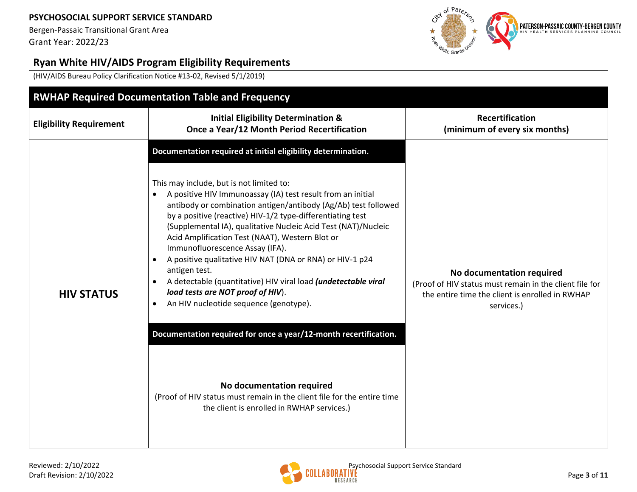Bergen-Passaic Transitional Grant Area Grant Year: 2022/23



# **Ryan White HIV/AIDS Program Eligibility Requirements**

(HIV/AIDS Bureau Policy Clarification Notice #13-02, Revised 5/1/2019)

| <b>Recertification</b><br><b>Initial Eligibility Determination &amp;</b><br><b>Eligibility Requirement</b><br>Once a Year/12 Month Period Recertification<br>(minimum of every six months)<br>Documentation required at initial eligibility determination.<br>This may include, but is not limited to:<br>A positive HIV Immunoassay (IA) test result from an initial<br>antibody or combination antigen/antibody (Ag/Ab) test followed<br>by a positive (reactive) HIV-1/2 type-differentiating test<br>(Supplemental IA), qualitative Nucleic Acid Test (NAT)/Nucleic<br>Acid Amplification Test (NAAT), Western Blot or<br>Immunofluorescence Assay (IFA).<br>A positive qualitative HIV NAT (DNA or RNA) or HIV-1 p24 | <b>RWHAP Required Documentation Table and Frequency</b> |  |                                                         |  |  |  |
|---------------------------------------------------------------------------------------------------------------------------------------------------------------------------------------------------------------------------------------------------------------------------------------------------------------------------------------------------------------------------------------------------------------------------------------------------------------------------------------------------------------------------------------------------------------------------------------------------------------------------------------------------------------------------------------------------------------------------|---------------------------------------------------------|--|---------------------------------------------------------|--|--|--|
|                                                                                                                                                                                                                                                                                                                                                                                                                                                                                                                                                                                                                                                                                                                           |                                                         |  |                                                         |  |  |  |
| antigen test.<br>No documentation required<br>A detectable (quantitative) HIV viral load (undetectable viral<br>load tests are NOT proof of HIV).<br><b>HIV STATUS</b><br>the entire time the client is enrolled in RWHAP<br>An HIV nucleotide sequence (genotype).<br>$\bullet$<br>services.)<br>Documentation required for once a year/12-month recertification.<br>No documentation required<br>(Proof of HIV status must remain in the client file for the entire time<br>the client is enrolled in RWHAP services.)                                                                                                                                                                                                  |                                                         |  | (Proof of HIV status must remain in the client file for |  |  |  |

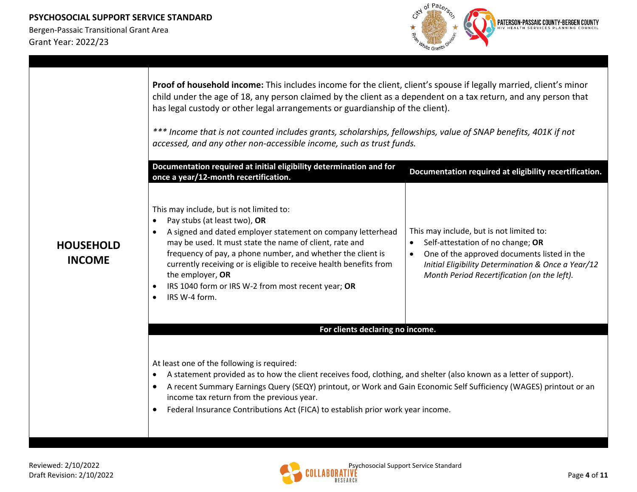

|                                   | Proof of household income: This includes income for the client, client's spouse if legally married, client's minor<br>child under the age of 18, any person claimed by the client as a dependent on a tax return, and any person that<br>has legal custody or other legal arrangements or guardianship of the client).<br>*** Income that is not counted includes grants, scholarships, fellowships, value of SNAP benefits, 401K if not<br>accessed, and any other non-accessible income, such as trust funds.<br>Documentation required at initial eligibility determination and for<br>Documentation required at eligibility recertification.<br>once a year/12-month recertification. |                                                                                                                                                                                                                                   |  |  |
|-----------------------------------|-------------------------------------------------------------------------------------------------------------------------------------------------------------------------------------------------------------------------------------------------------------------------------------------------------------------------------------------------------------------------------------------------------------------------------------------------------------------------------------------------------------------------------------------------------------------------------------------------------------------------------------------------------------------------------------------|-----------------------------------------------------------------------------------------------------------------------------------------------------------------------------------------------------------------------------------|--|--|
| <b>HOUSEHOLD</b><br><b>INCOME</b> | This may include, but is not limited to:<br>Pay stubs (at least two), OR<br>$\bullet$<br>A signed and dated employer statement on company letterhead<br>may be used. It must state the name of client, rate and<br>frequency of pay, a phone number, and whether the client is<br>currently receiving or is eligible to receive health benefits from<br>the employer, OR<br>IRS 1040 form or IRS W-2 from most recent year; OR<br>IRS W-4 form.<br>$\bullet$                                                                                                                                                                                                                              | This may include, but is not limited to:<br>Self-attestation of no change; OR<br>One of the approved documents listed in the<br>Initial Eligibility Determination & Once a Year/12<br>Month Period Recertification (on the left). |  |  |
|                                   | For clients declaring no income.                                                                                                                                                                                                                                                                                                                                                                                                                                                                                                                                                                                                                                                          |                                                                                                                                                                                                                                   |  |  |
|                                   | At least one of the following is required:<br>A statement provided as to how the client receives food, clothing, and shelter (also known as a letter of support).<br>A recent Summary Earnings Query (SEQY) printout, or Work and Gain Economic Self Sufficiency (WAGES) printout or an<br>$\bullet$<br>income tax return from the previous year.<br>Federal Insurance Contributions Act (FICA) to establish prior work year income.                                                                                                                                                                                                                                                      |                                                                                                                                                                                                                                   |  |  |

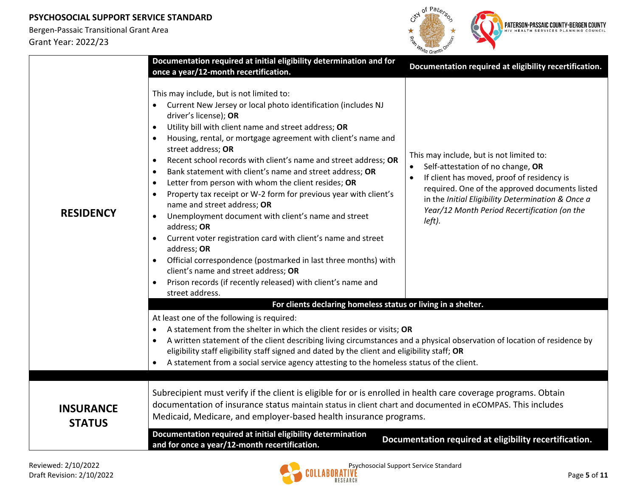

|                                   | Documentation required at initial eligibility determination and for<br>once a year/12-month recertification.                                                                                                                                                                                                                                                                                                                                                                                                                                                                                                                                                                                                                                                                                                                                                                                                                                                                                                             | Documentation required at eligibility recertification.                                                                                                                                                                                                                                       |  |  |  |
|-----------------------------------|--------------------------------------------------------------------------------------------------------------------------------------------------------------------------------------------------------------------------------------------------------------------------------------------------------------------------------------------------------------------------------------------------------------------------------------------------------------------------------------------------------------------------------------------------------------------------------------------------------------------------------------------------------------------------------------------------------------------------------------------------------------------------------------------------------------------------------------------------------------------------------------------------------------------------------------------------------------------------------------------------------------------------|----------------------------------------------------------------------------------------------------------------------------------------------------------------------------------------------------------------------------------------------------------------------------------------------|--|--|--|
| <b>RESIDENCY</b>                  | This may include, but is not limited to:<br>Current New Jersey or local photo identification (includes NJ<br>driver's license); OR<br>Utility bill with client name and street address; OR<br>$\bullet$<br>Housing, rental, or mortgage agreement with client's name and<br>$\bullet$<br>street address; OR<br>Recent school records with client's name and street address; OR<br>$\bullet$<br>Bank statement with client's name and street address; OR<br>$\bullet$<br>Letter from person with whom the client resides; OR<br>$\bullet$<br>Property tax receipt or W-2 form for previous year with client's<br>$\bullet$<br>name and street address; OR<br>Unemployment document with client's name and street<br>$\bullet$<br>address; OR<br>Current voter registration card with client's name and street<br>address; OR<br>Official correspondence (postmarked in last three months) with<br>client's name and street address; OR<br>Prison records (if recently released) with client's name and<br>street address. | This may include, but is not limited to:<br>Self-attestation of no change, OR<br>If client has moved, proof of residency is<br>required. One of the approved documents listed<br>in the Initial Eligibility Determination & Once a<br>Year/12 Month Period Recertification (on the<br>left). |  |  |  |
|                                   | For clients declaring homeless status or living in a shelter.                                                                                                                                                                                                                                                                                                                                                                                                                                                                                                                                                                                                                                                                                                                                                                                                                                                                                                                                                            |                                                                                                                                                                                                                                                                                              |  |  |  |
|                                   | At least one of the following is required:<br>A statement from the shelter in which the client resides or visits; OR<br>A written statement of the client describing living circumstances and a physical observation of location of residence by<br>$\bullet$<br>eligibility staff eligibility staff signed and dated by the client and eligibility staff; OR<br>A statement from a social service agency attesting to the homeless status of the client.                                                                                                                                                                                                                                                                                                                                                                                                                                                                                                                                                                |                                                                                                                                                                                                                                                                                              |  |  |  |
| <b>INSURANCE</b><br><b>STATUS</b> | Subrecipient must verify if the client is eligible for or is enrolled in health care coverage programs. Obtain<br>documentation of insurance status maintain status in client chart and documented in eCOMPAS. This includes<br>Medicaid, Medicare, and employer-based health insurance programs.                                                                                                                                                                                                                                                                                                                                                                                                                                                                                                                                                                                                                                                                                                                        |                                                                                                                                                                                                                                                                                              |  |  |  |
|                                   | Documentation required at initial eligibility determination<br>and for once a year/12-month recertification.                                                                                                                                                                                                                                                                                                                                                                                                                                                                                                                                                                                                                                                                                                                                                                                                                                                                                                             | Documentation required at eligibility recertification.                                                                                                                                                                                                                                       |  |  |  |

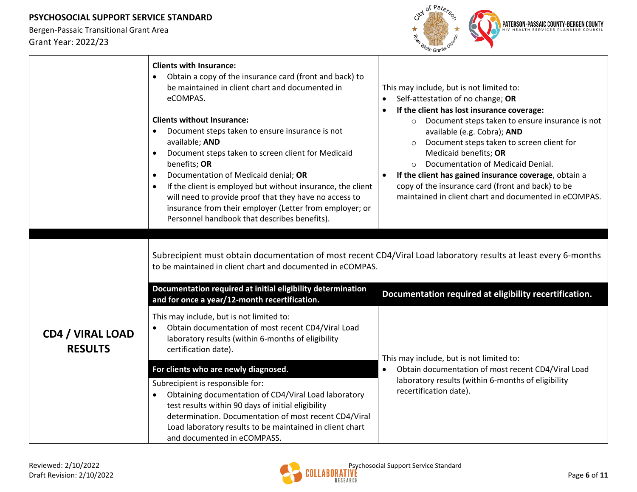

|                                           | <b>Clients with Insurance:</b><br>Obtain a copy of the insurance card (front and back) to<br>be maintained in client chart and documented in<br>eCOMPAS.<br><b>Clients without Insurance:</b><br>Document steps taken to ensure insurance is not<br>available; AND<br>Document steps taken to screen client for Medicaid<br>benefits; OR<br>Documentation of Medicaid denial; OR<br>$\bullet$<br>If the client is employed but without insurance, the client<br>$\bullet$<br>will need to provide proof that they have no access to<br>insurance from their employer (Letter from employer; or<br>Personnel handbook that describes benefits). | This may include, but is not limited to:<br>Self-attestation of no change; OR<br>$\bullet$<br>If the client has lost insurance coverage:<br>$\bullet$<br>Document steps taken to ensure insurance is not<br>$\circ$<br>available (e.g. Cobra); AND<br>Document steps taken to screen client for<br>Medicaid benefits; OR<br>Documentation of Medicaid Denial.<br>If the client has gained insurance coverage, obtain a<br>$\bullet$<br>copy of the insurance card (front and back) to be<br>maintained in client chart and documented in eCOMPAS. |
|-------------------------------------------|------------------------------------------------------------------------------------------------------------------------------------------------------------------------------------------------------------------------------------------------------------------------------------------------------------------------------------------------------------------------------------------------------------------------------------------------------------------------------------------------------------------------------------------------------------------------------------------------------------------------------------------------|---------------------------------------------------------------------------------------------------------------------------------------------------------------------------------------------------------------------------------------------------------------------------------------------------------------------------------------------------------------------------------------------------------------------------------------------------------------------------------------------------------------------------------------------------|
|                                           | to be maintained in client chart and documented in eCOMPAS.<br>Documentation required at initial eligibility determination<br>and for once a year/12-month recertification.                                                                                                                                                                                                                                                                                                                                                                                                                                                                    | Subrecipient must obtain documentation of most recent CD4/Viral Load laboratory results at least every 6-months<br>Documentation required at eligibility recertification.                                                                                                                                                                                                                                                                                                                                                                         |
| <b>CD4 / VIRAL LOAD</b><br><b>RESULTS</b> | This may include, but is not limited to:<br>Obtain documentation of most recent CD4/Viral Load<br>$\bullet$<br>laboratory results (within 6-months of eligibility<br>certification date).                                                                                                                                                                                                                                                                                                                                                                                                                                                      | This may include, but is not limited to:                                                                                                                                                                                                                                                                                                                                                                                                                                                                                                          |
|                                           | For clients who are newly diagnosed.                                                                                                                                                                                                                                                                                                                                                                                                                                                                                                                                                                                                           | Obtain documentation of most recent CD4/Viral Load<br>$\bullet$                                                                                                                                                                                                                                                                                                                                                                                                                                                                                   |
|                                           | Subrecipient is responsible for:<br>Obtaining documentation of CD4/Viral Load laboratory<br>$\bullet$<br>test results within 90 days of initial eligibility<br>determination. Documentation of most recent CD4/Viral<br>Load laboratory results to be maintained in client chart<br>and documented in eCOMPASS.                                                                                                                                                                                                                                                                                                                                | laboratory results (within 6-months of eligibility<br>recertification date).                                                                                                                                                                                                                                                                                                                                                                                                                                                                      |

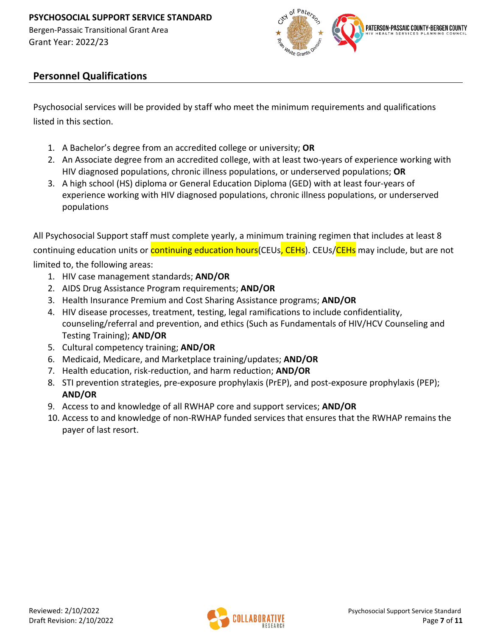

### **Personnel Qualifications**

Psychosocial services will be provided by staff who meet the minimum requirements and qualifications listed in this section.

- 1. A Bachelor's degree from an accredited college or university; **OR**
- 2. An Associate degree from an accredited college, with at least two-years of experience working with HIV diagnosed populations, chronic illness populations, or underserved populations; **OR**
- 3. A high school (HS) diploma or General Education Diploma (GED) with at least four-years of experience working with HIV diagnosed populations, chronic illness populations, or underserved populations

All Psychosocial Support staff must complete yearly, a minimum training regimen that includes at least 8 continuing education units or **continuing education hours** (CEUs, CEHs). CEUs/CEHs may include, but are not limited to, the following areas:

- 1. HIV case management standards; **AND/OR**
- 2. AIDS Drug Assistance Program requirements; **AND/OR**
- 3. Health Insurance Premium and Cost Sharing Assistance programs; **AND/OR**
- 4. HIV disease processes, treatment, testing, legal ramifications to include confidentiality, counseling/referral and prevention, and ethics (Such as Fundamentals of HIV/HCV Counseling and Testing Training); **AND/OR**
- 5. Cultural competency training; **AND/OR**
- 6. Medicaid, Medicare, and Marketplace training/updates; **AND/OR**
- 7. Health education, risk-reduction, and harm reduction; **AND/OR**
- 8. STI prevention strategies, pre-exposure prophylaxis (PrEP), and post-exposure prophylaxis (PEP); **AND/OR**
- 9. Access to and knowledge of all RWHAP core and support services; **AND/OR**
- 10. Access to and knowledge of non-RWHAP funded services that ensures that the RWHAP remains the payer of last resort.

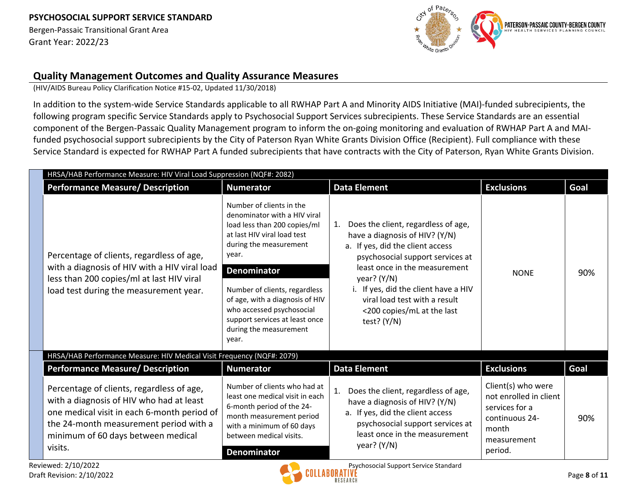Bergen-Passaic Transitional Grant Area Grant Year: 2022/23



### **Quality Management Outcomes and Quality Assurance Measures**

(HIV/AIDS Bureau Policy Clarification Notice #15-02, Updated 11/30/2018)

In addition to the system-wide Service Standards applicable to all RWHAP Part A and Minority AIDS Initiative (MAI)-funded subrecipients, the following program specific Service Standards apply to Psychosocial Support Services subrecipients. These Service Standards are an essential component of the Bergen-Passaic Quality Management program to inform the on-going monitoring and evaluation of RWHAP Part A and MAIfunded psychosocial support subrecipients by the City of Paterson Ryan White Grants Division Office (Recipient). Full compliance with these Service Standard is expected for RWHAP Part A funded subrecipients that have contracts with the City of Paterson, Ryan White Grants Division.

| HRSA/HAB Performance Measure: HIV Viral Load Suppression (NQF#: 2082)                                                                                                                                                           |                                                                                                                                                                                                                                                                                                                                                        |                                                                                                                                                                                                                                                                                                                            |                                                                                                                     |                                       |
|---------------------------------------------------------------------------------------------------------------------------------------------------------------------------------------------------------------------------------|--------------------------------------------------------------------------------------------------------------------------------------------------------------------------------------------------------------------------------------------------------------------------------------------------------------------------------------------------------|----------------------------------------------------------------------------------------------------------------------------------------------------------------------------------------------------------------------------------------------------------------------------------------------------------------------------|---------------------------------------------------------------------------------------------------------------------|---------------------------------------|
| <b>Performance Measure/ Description</b>                                                                                                                                                                                         | <b>Numerator</b>                                                                                                                                                                                                                                                                                                                                       | <b>Data Element</b>                                                                                                                                                                                                                                                                                                        | <b>Exclusions</b>                                                                                                   | Goal                                  |
| Percentage of clients, regardless of age,<br>with a diagnosis of HIV with a HIV viral load<br>less than 200 copies/ml at last HIV viral<br>load test during the measurement year.                                               | Number of clients in the<br>denominator with a HIV viral<br>load less than 200 copies/ml<br>at last HIV viral load test<br>during the measurement<br>year.<br><b>Denominator</b><br>Number of clients, regardless<br>of age, with a diagnosis of HIV<br>who accessed psychosocial<br>support services at least once<br>during the measurement<br>year. | 1. Does the client, regardless of age,<br>have a diagnosis of HIV? (Y/N)<br>a. If yes, did the client access<br>psychosocial support services at<br>least once in the measurement<br>year? $(Y/N)$<br>i. If yes, did the client have a HIV<br>viral load test with a result<br><200 copies/mL at the last<br>test? $(Y/N)$ | <b>NONE</b>                                                                                                         | 90%                                   |
| HRSA/HAB Performance Measure: HIV Medical Visit Frequency (NQF#: 2079)                                                                                                                                                          |                                                                                                                                                                                                                                                                                                                                                        |                                                                                                                                                                                                                                                                                                                            |                                                                                                                     |                                       |
| <b>Performance Measure/ Description</b>                                                                                                                                                                                         | <b>Numerator</b>                                                                                                                                                                                                                                                                                                                                       | <b>Data Element</b>                                                                                                                                                                                                                                                                                                        | <b>Exclusions</b>                                                                                                   | Goal                                  |
| Percentage of clients, regardless of age,<br>with a diagnosis of HIV who had at least<br>one medical visit in each 6-month period of<br>the 24-month measurement period with a<br>minimum of 60 days between medical<br>visits. | Number of clients who had at<br>least one medical visit in each<br>6-month period of the 24-<br>month measurement period<br>with a minimum of 60 days<br>between medical visits.<br><b>Denominator</b>                                                                                                                                                 | Does the client, regardless of age,<br>have a diagnosis of HIV? (Y/N)<br>a. If yes, did the client access<br>psychosocial support services at<br>least once in the measurement<br>year? $(Y/N)$                                                                                                                            | Client(s) who were<br>not enrolled in client<br>services for a<br>continuous 24-<br>month<br>measurement<br>period. | 90%                                   |
|                                                                                                                                                                                                                                 | Reviewed: 2/10/2022                                                                                                                                                                                                                                                                                                                                    |                                                                                                                                                                                                                                                                                                                            |                                                                                                                     | Psychosocial Support Service Standard |

Draft Revision: 2/10/2022 Page **8** of **11**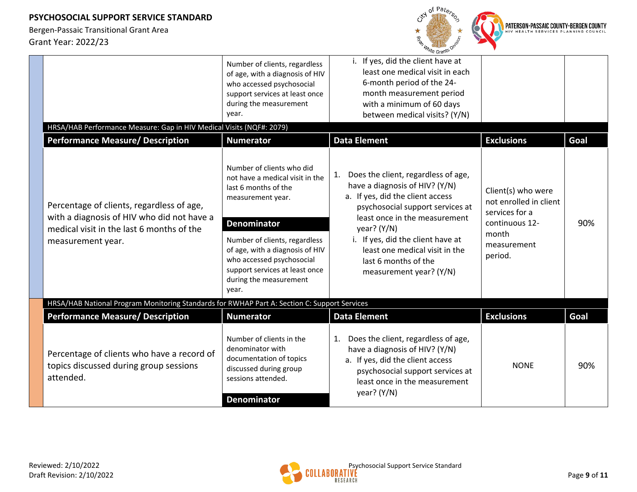

| HRSA/HAB Performance Measure: Gap in HIV Medical Visits (NQF#: 2079)                                                                                      | Number of clients, regardless<br>of age, with a diagnosis of HIV<br>who accessed psychosocial<br>support services at least once<br>during the measurement<br>year.                                                                                                                                    | i. If yes, did the client have at<br>least one medical visit in each<br>6-month period of the 24-<br>month measurement period<br>with a minimum of 60 days<br>between medical visits? (Y/N)                                                                                                                                     |                                                                                                                     |      |
|-----------------------------------------------------------------------------------------------------------------------------------------------------------|-------------------------------------------------------------------------------------------------------------------------------------------------------------------------------------------------------------------------------------------------------------------------------------------------------|---------------------------------------------------------------------------------------------------------------------------------------------------------------------------------------------------------------------------------------------------------------------------------------------------------------------------------|---------------------------------------------------------------------------------------------------------------------|------|
| <b>Performance Measure/ Description</b>                                                                                                                   | <b>Numerator</b>                                                                                                                                                                                                                                                                                      | <b>Data Element</b>                                                                                                                                                                                                                                                                                                             | <b>Exclusions</b>                                                                                                   | Goal |
| Percentage of clients, regardless of age,<br>with a diagnosis of HIV who did not have a<br>medical visit in the last 6 months of the<br>measurement year. | Number of clients who did<br>not have a medical visit in the<br>last 6 months of the<br>measurement year.<br><b>Denominator</b><br>Number of clients, regardless<br>of age, with a diagnosis of HIV<br>who accessed psychosocial<br>support services at least once<br>during the measurement<br>year. | Does the client, regardless of age,<br>1.<br>have a diagnosis of HIV? (Y/N)<br>a. If yes, did the client access<br>psychosocial support services at<br>least once in the measurement<br>year? $(Y/N)$<br>i. If yes, did the client have at<br>least one medical visit in the<br>last 6 months of the<br>measurement year? (Y/N) | Client(s) who were<br>not enrolled in client<br>services for a<br>continuous 12-<br>month<br>measurement<br>period. | 90%  |
| HRSA/HAB National Program Monitoring Standards for RWHAP Part A: Section C: Support Services                                                              |                                                                                                                                                                                                                                                                                                       |                                                                                                                                                                                                                                                                                                                                 |                                                                                                                     |      |
| <b>Performance Measure/ Description</b>                                                                                                                   | <b>Numerator</b>                                                                                                                                                                                                                                                                                      | <b>Data Element</b>                                                                                                                                                                                                                                                                                                             | <b>Exclusions</b>                                                                                                   | Goal |
| Percentage of clients who have a record of<br>topics discussed during group sessions<br>attended.                                                         | Number of clients in the<br>denominator with<br>documentation of topics<br>discussed during group<br>sessions attended.<br><b>Denominator</b>                                                                                                                                                         | Does the client, regardless of age,<br>1.<br>have a diagnosis of HIV? (Y/N)<br>a. If yes, did the client access<br>psychosocial support services at<br>least once in the measurement<br>year? $(Y/N)$                                                                                                                           | <b>NONE</b>                                                                                                         | 90%  |

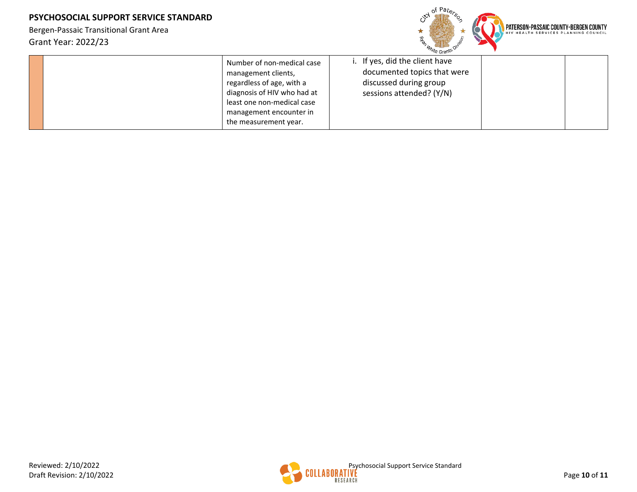